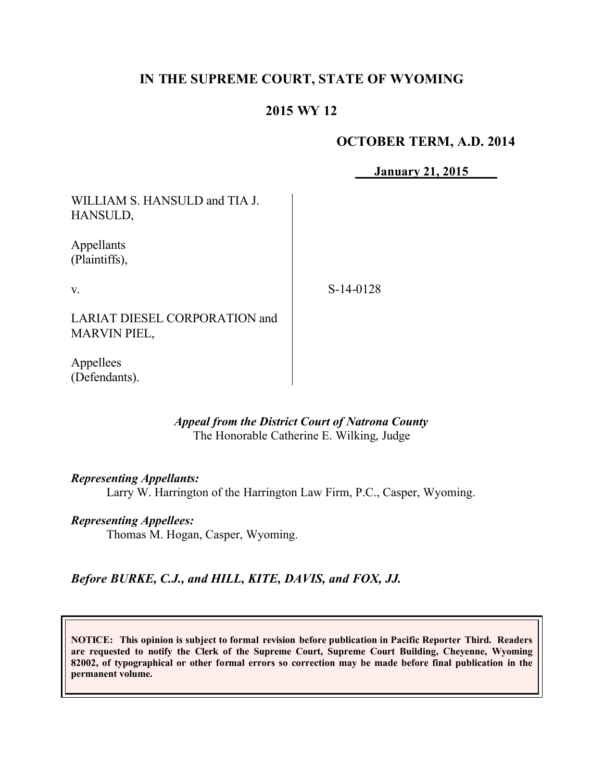## **IN THE SUPREME COURT, STATE OF WYOMING**

## **2015 WY 12**

## **OCTOBER TERM, A.D. 2014**

**January 21, 2015**

WILLIAM S. HANSULD and TIA J. HANSULD,

Appellants (Plaintiffs),

v.

S-14-0128

LARIAT DIESEL CORPORATION and MARVIN PIEL,

Appellees (Defendants).

### *Appeal from the District Court of Natrona County* The Honorable Catherine E. Wilking, Judge

#### *Representing Appellants:*

Larry W. Harrington of the Harrington Law Firm, P.C., Casper, Wyoming.

#### *Representing Appellees:*

Thomas M. Hogan, Casper, Wyoming.

*Before BURKE, C.J., and HILL, KITE, DAVIS, and FOX, JJ.*

**NOTICE: This opinion is subject to formal revision before publication in Pacific Reporter Third. Readers are requested to notify the Clerk of the Supreme Court, Supreme Court Building, Cheyenne, Wyoming 82002, of typographical or other formal errors so correction may be made before final publication in the permanent volume.**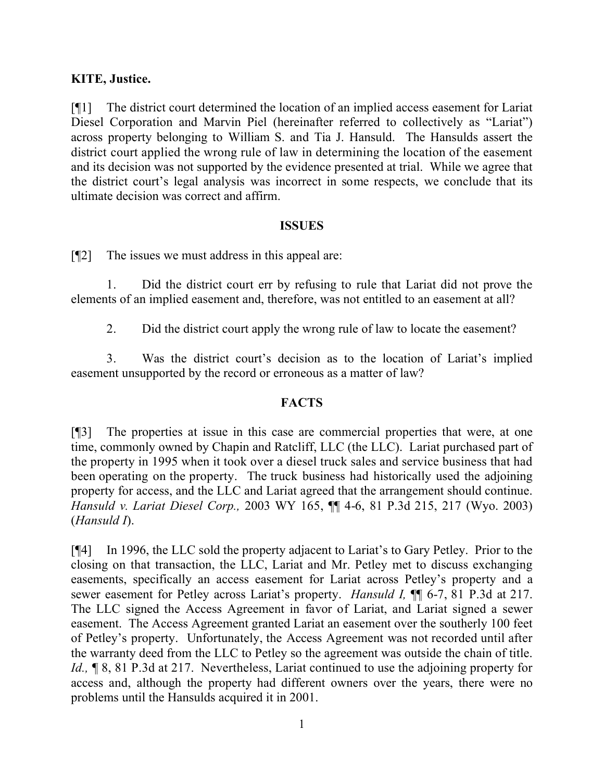## **KITE, Justice.**

[¶1] The district court determined the location of an implied access easement for Lariat Diesel Corporation and Marvin Piel (hereinafter referred to collectively as "Lariat") across property belonging to William S. and Tia J. Hansuld. The Hansulds assert the district court applied the wrong rule of law in determining the location of the easement and its decision was not supported by the evidence presented at trial. While we agree that the district court's legal analysis was incorrect in some respects, we conclude that its ultimate decision was correct and affirm.

### **ISSUES**

[¶2] The issues we must address in this appeal are:

1. Did the district court err by refusing to rule that Lariat did not prove the elements of an implied easement and, therefore, was not entitled to an easement at all?

2. Did the district court apply the wrong rule of law to locate the easement?

3. Was the district court's decision as to the location of Lariat's implied easement unsupported by the record or erroneous as a matter of law?

## **FACTS**

[¶3] The properties at issue in this case are commercial properties that were, at one time, commonly owned by Chapin and Ratcliff, LLC (the LLC). Lariat purchased part of the property in 1995 when it took over a diesel truck sales and service business that had been operating on the property. The truck business had historically used the adjoining property for access, and the LLC and Lariat agreed that the arrangement should continue. *Hansuld v. Lariat Diesel Corp.,* 2003 WY 165, ¶¶ 4-6, 81 P.3d 215, 217 (Wyo. 2003) (*Hansuld I*).

[¶4] In 1996, the LLC sold the property adjacent to Lariat's to Gary Petley. Prior to the closing on that transaction, the LLC, Lariat and Mr. Petley met to discuss exchanging easements, specifically an access easement for Lariat across Petley's property and a sewer easement for Petley across Lariat's property. *Hansuld I,* ¶¶ 6-7, 81 P.3d at 217. The LLC signed the Access Agreement in favor of Lariat, and Lariat signed a sewer easement. The Access Agreement granted Lariat an easement over the southerly 100 feet of Petley's property. Unfortunately, the Access Agreement was not recorded until after the warranty deed from the LLC to Petley so the agreement was outside the chain of title. *Id.*, **[8, 81 P.3d at 217.** Nevertheless, Lariat continued to use the adjoining property for access and, although the property had different owners over the years, there were no problems until the Hansulds acquired it in 2001.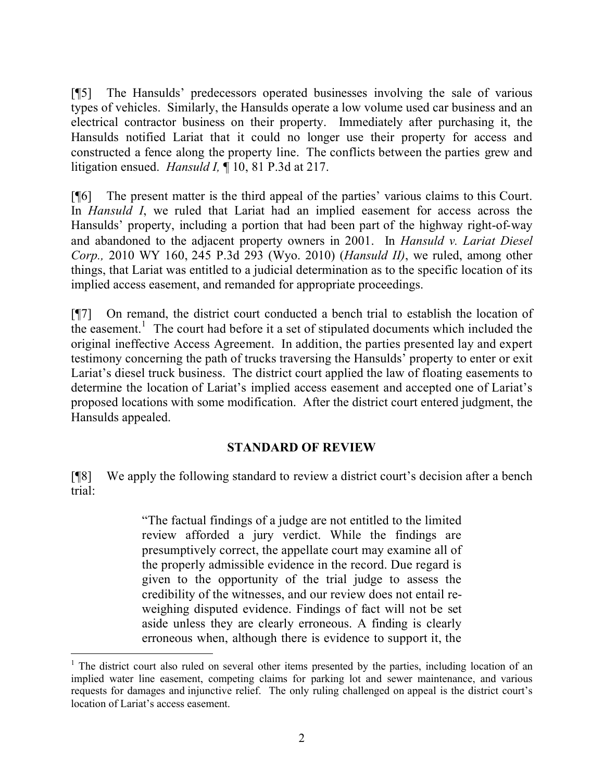[¶5] The Hansulds' predecessors operated businesses involving the sale of various types of vehicles. Similarly, the Hansulds operate a low volume used car business and an electrical contractor business on their property. Immediately after purchasing it, the Hansulds notified Lariat that it could no longer use their property for access and constructed a fence along the property line. The conflicts between the parties grew and litigation ensued. *Hansuld I,* ¶ 10, 81 P.3d at 217.

[¶6] The present matter is the third appeal of the parties' various claims to this Court. In *Hansuld I*, we ruled that Lariat had an implied easement for access across the Hansulds' property, including a portion that had been part of the highway right-of-way and abandoned to the adjacent property owners in 2001. In *Hansuld v. Lariat Diesel Corp.,* 2010 WY 160, 245 P.3d 293 (Wyo. 2010) (*Hansuld II)*, we ruled, among other things, that Lariat was entitled to a judicial determination as to the specific location of its implied access easement, and remanded for appropriate proceedings.

[¶7] On remand, the district court conducted a bench trial to establish the location of the easement.<sup>1</sup> The court had before it a set of stipulated documents which included the original ineffective Access Agreement. In addition, the parties presented lay and expert testimony concerning the path of trucks traversing the Hansulds' property to enter or exit Lariat's diesel truck business. The district court applied the law of floating easements to determine the location of Lariat's implied access easement and accepted one of Lariat's proposed locations with some modification. After the district court entered judgment, the Hansulds appealed.

#### **STANDARD OF REVIEW**

[¶8] We apply the following standard to review a district court's decision after a bench trial:

> "The factual findings of a judge are not entitled to the limited review afforded a jury verdict. While the findings are presumptively correct, the appellate court may examine all of the properly admissible evidence in the record. Due regard is given to the opportunity of the trial judge to assess the credibility of the witnesses, and our review does not entail reweighing disputed evidence. Findings of fact will not be set aside unless they are clearly erroneous. A finding is clearly erroneous when, although there is evidence to support it, the

 $\overline{a}$ 

<sup>&</sup>lt;sup>1</sup> The district court also ruled on several other items presented by the parties, including location of an implied water line easement, competing claims for parking lot and sewer maintenance, and various requests for damages and injunctive relief. The only ruling challenged on appeal is the district court's location of Lariat's access easement.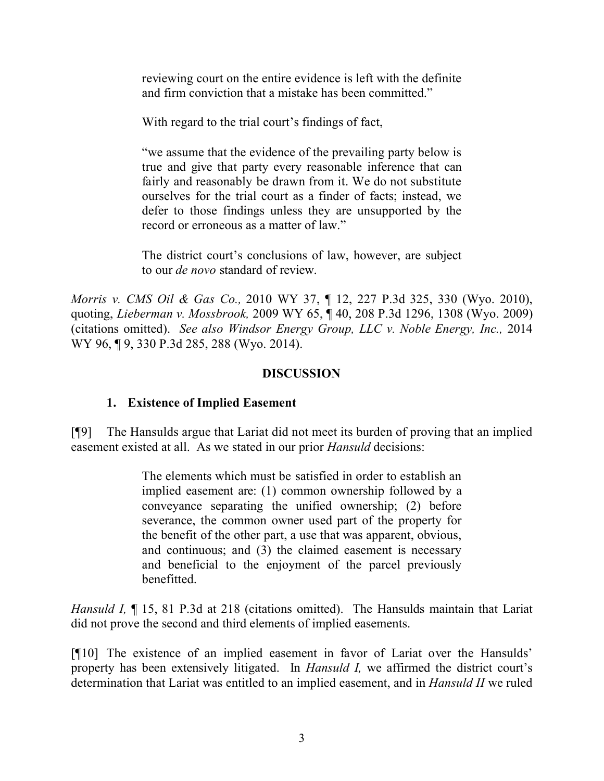reviewing court on the entire evidence is left with the definite and firm conviction that a mistake has been committed."

With regard to the trial court's findings of fact,

"we assume that the evidence of the prevailing party below is true and give that party every reasonable inference that can fairly and reasonably be drawn from it. We do not substitute ourselves for the trial court as a finder of facts; instead, we defer to those findings unless they are unsupported by the record or erroneous as a matter of law."

The district court's conclusions of law, however, are subject to our *de novo* standard of review.

*Morris v. CMS Oil & Gas Co.,* 2010 WY 37, ¶ 12, 227 P.3d 325, 330 (Wyo. 2010), quoting, *Lieberman v. Mossbrook,* 2009 WY 65, ¶ 40, 208 P.3d 1296, 1308 (Wyo. 2009) (citations omitted). *See also Windsor Energy Group, LLC v. Noble Energy, Inc.,* 2014 WY 96, 19, 330 P.3d 285, 288 (Wyo. 2014).

## **DISCUSSION**

## **1. Existence of Implied Easement**

[¶9] The Hansulds argue that Lariat did not meet its burden of proving that an implied easement existed at all. As we stated in our prior *Hansuld* decisions:

> The elements which must be satisfied in order to establish an implied easement are: (1) common ownership followed by a conveyance separating the unified ownership; (2) before severance, the common owner used part of the property for the benefit of the other part, a use that was apparent, obvious, and continuous; and (3) the claimed easement is necessary and beneficial to the enjoyment of the parcel previously benefitted.

*Hansuld I*, ¶ 15, 81 P.3d at 218 (citations omitted). The Hansulds maintain that Lariat did not prove the second and third elements of implied easements.

[¶10] The existence of an implied easement in favor of Lariat over the Hansulds' property has been extensively litigated. In *Hansuld I,* we affirmed the district court's determination that Lariat was entitled to an implied easement, and in *Hansuld II* we ruled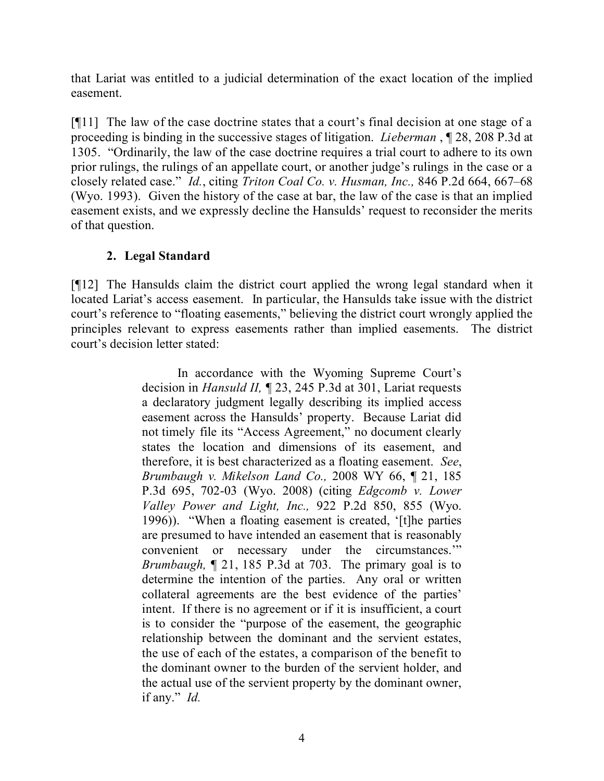that Lariat was entitled to a judicial determination of the exact location of the implied easement.

[¶11] The law of the case doctrine states that a court's final decision at one stage of a proceeding is binding in the successive stages of litigation. *Lieberman* , ¶ 28, 208 P.3d at 1305. "Ordinarily, the law of the case doctrine requires a trial court to adhere to its own prior rulings, the rulings of an appellate court, or another judge's rulings in the case or a closely related case." *Id.*, citing *Triton Coal Co. v. Husman, Inc.,* 846 P.2d 664, 667–68 (Wyo. 1993). Given the history of the case at bar, the law of the case is that an implied easement exists, and we expressly decline the Hansulds' request to reconsider the merits of that question.

# **2. Legal Standard**

[¶12] The Hansulds claim the district court applied the wrong legal standard when it located Lariat's access easement. In particular, the Hansulds take issue with the district court's reference to "floating easements," believing the district court wrongly applied the principles relevant to express easements rather than implied easements. The district court's decision letter stated:

> In accordance with the Wyoming Supreme Court's decision in *Hansuld II,* ¶ 23, 245 P.3d at 301, Lariat requests a declaratory judgment legally describing its implied access easement across the Hansulds' property. Because Lariat did not timely file its "Access Agreement," no document clearly states the location and dimensions of its easement, and therefore, it is best characterized as a floating easement. *See*, *Brumbaugh v. Mikelson Land Co.,* 2008 WY 66, ¶ 21, 185 P.3d 695, 702-03 (Wyo. 2008) (citing *Edgcomb v. Lower Valley Power and Light, Inc.,* 922 P.2d 850, 855 (Wyo. 1996)). "When a floating easement is created, '[t]he parties are presumed to have intended an easement that is reasonably convenient or necessary under the circumstances.'" *Brumbaugh,* ¶ 21, 185 P.3d at 703. The primary goal is to determine the intention of the parties. Any oral or written collateral agreements are the best evidence of the parties' intent. If there is no agreement or if it is insufficient, a court is to consider the "purpose of the easement, the geographic relationship between the dominant and the servient estates, the use of each of the estates, a comparison of the benefit to the dominant owner to the burden of the servient holder, and the actual use of the servient property by the dominant owner, if any." *Id.*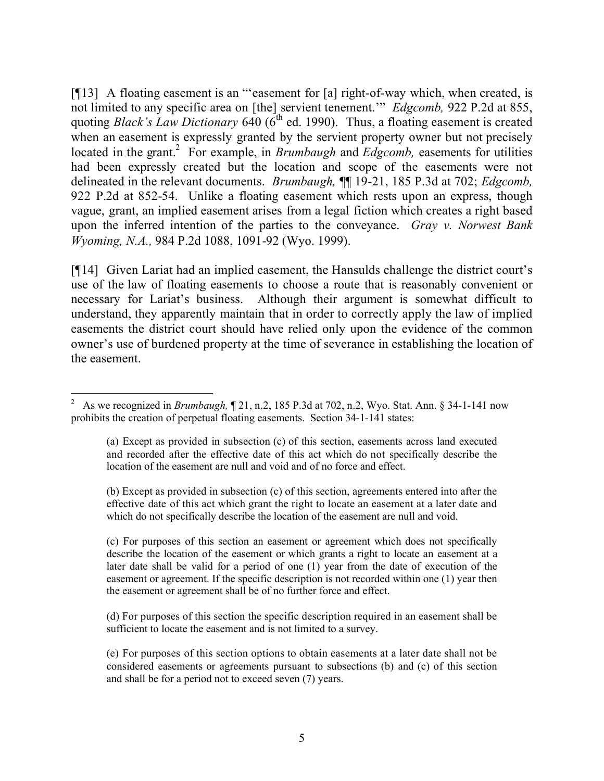[¶13] A floating easement is an "'easement for [a] right-of-way which, when created, is not limited to any specific area on [the] servient tenement.'" *Edgcomb,* 922 P.2d at 855, quoting *Black's Law Dictionary* 640 (6<sup>th</sup> ed. 1990). Thus, a floating easement is created when an easement is expressly granted by the servient property owner but not precisely located in the grant.<sup>2</sup> For example, in *Brumbaugh* and *Edgcomb*, easements for utilities had been expressly created but the location and scope of the easements were not delineated in the relevant documents. *Brumbaugh,* ¶¶ 19-21, 185 P.3d at 702; *Edgcomb,*  922 P.2d at 852-54. Unlike a floating easement which rests upon an express, though vague, grant, an implied easement arises from a legal fiction which creates a right based upon the inferred intention of the parties to the conveyance. *Gray v. Norwest Bank Wyoming, N.A.,* 984 P.2d 1088, 1091-92 (Wyo. 1999).

[¶14] Given Lariat had an implied easement, the Hansulds challenge the district court's use of the law of floating easements to choose a route that is reasonably convenient or necessary for Lariat's business. Although their argument is somewhat difficult to understand, they apparently maintain that in order to correctly apply the law of implied easements the district court should have relied only upon the evidence of the common owner's use of burdened property at the time of severance in establishing the location of the easement.

(b) Except as provided in subsection (c) of this section, agreements entered into after the effective date of this act which grant the right to locate an easement at a later date and which do not specifically describe the location of the easement are null and void.

(c) For purposes of this section an easement or agreement which does not specifically describe the location of the easement or which grants a right to locate an easement at a later date shall be valid for a period of one (1) year from the date of execution of the easement or agreement. If the specific description is not recorded within one (1) year then the easement or agreement shall be of no further force and effect.

(d) For purposes of this section the specific description required in an easement shall be sufficient to locate the easement and is not limited to a survey.

(e) For purposes of this section options to obtain easements at a later date shall not be considered easements or agreements pursuant to subsections (b) and (c) of this section and shall be for a period not to exceed seven (7) years.

<sup>2</sup> As we recognized in *Brumbaugh,* ¶ 21, n.2, 185 P.3d at 702, n.2, Wyo. Stat. Ann. § 34-1-141 now prohibits the creation of perpetual floating easements. Section 34-1-141 states:

<sup>(</sup>a) Except as provided in subsection (c) of this section, easements across land executed and recorded after the effective date of this act which do not specifically describe the location of the easement are null and void and of no force and effect.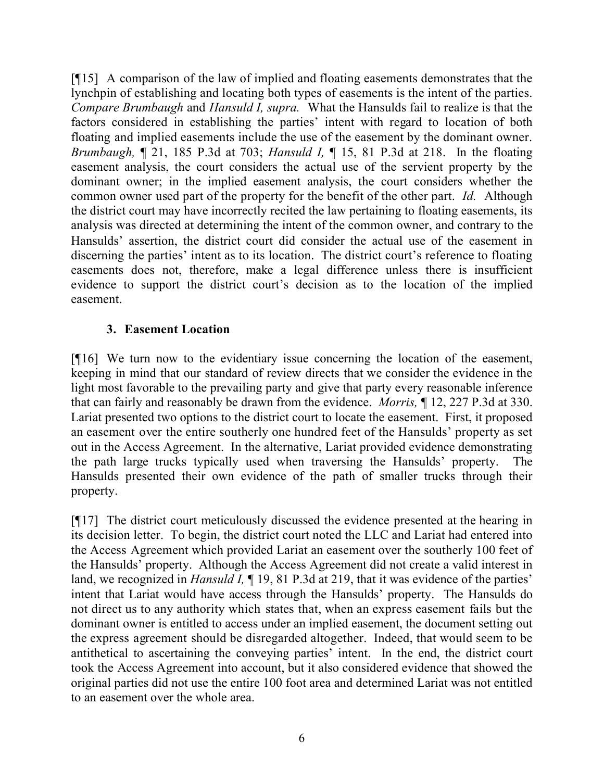[¶15] A comparison of the law of implied and floating easements demonstrates that the lynchpin of establishing and locating both types of easements is the intent of the parties. *Compare Brumbaugh* and *Hansuld I, supra.* What the Hansulds fail to realize is that the factors considered in establishing the parties' intent with regard to location of both floating and implied easements include the use of the easement by the dominant owner. *Brumbaugh,* ¶ 21, 185 P.3d at 703; *Hansuld I,* ¶ 15, 81 P.3d at 218. In the floating easement analysis, the court considers the actual use of the servient property by the dominant owner; in the implied easement analysis, the court considers whether the common owner used part of the property for the benefit of the other part. *Id.* Although the district court may have incorrectly recited the law pertaining to floating easements, its analysis was directed at determining the intent of the common owner, and contrary to the Hansulds' assertion, the district court did consider the actual use of the easement in discerning the parties' intent as to its location. The district court's reference to floating easements does not, therefore, make a legal difference unless there is insufficient evidence to support the district court's decision as to the location of the implied easement.

## **3. Easement Location**

[¶16] We turn now to the evidentiary issue concerning the location of the easement, keeping in mind that our standard of review directs that we consider the evidence in the light most favorable to the prevailing party and give that party every reasonable inference that can fairly and reasonably be drawn from the evidence. *Morris,* ¶ 12, 227 P.3d at 330. Lariat presented two options to the district court to locate the easement. First, it proposed an easement over the entire southerly one hundred feet of the Hansulds' property as set out in the Access Agreement. In the alternative, Lariat provided evidence demonstrating the path large trucks typically used when traversing the Hansulds' property. The Hansulds presented their own evidence of the path of smaller trucks through their property.

[¶17] The district court meticulously discussed the evidence presented at the hearing in its decision letter. To begin, the district court noted the LLC and Lariat had entered into the Access Agreement which provided Lariat an easement over the southerly 100 feet of the Hansulds' property. Although the Access Agreement did not create a valid interest in land, we recognized in *Hansuld I*,  $\P$  19, 81 P.3d at 219, that it was evidence of the parties' intent that Lariat would have access through the Hansulds' property. The Hansulds do not direct us to any authority which states that, when an express easement fails but the dominant owner is entitled to access under an implied easement, the document setting out the express agreement should be disregarded altogether. Indeed, that would seem to be antithetical to ascertaining the conveying parties' intent. In the end, the district court took the Access Agreement into account, but it also considered evidence that showed the original parties did not use the entire 100 foot area and determined Lariat was not entitled to an easement over the whole area.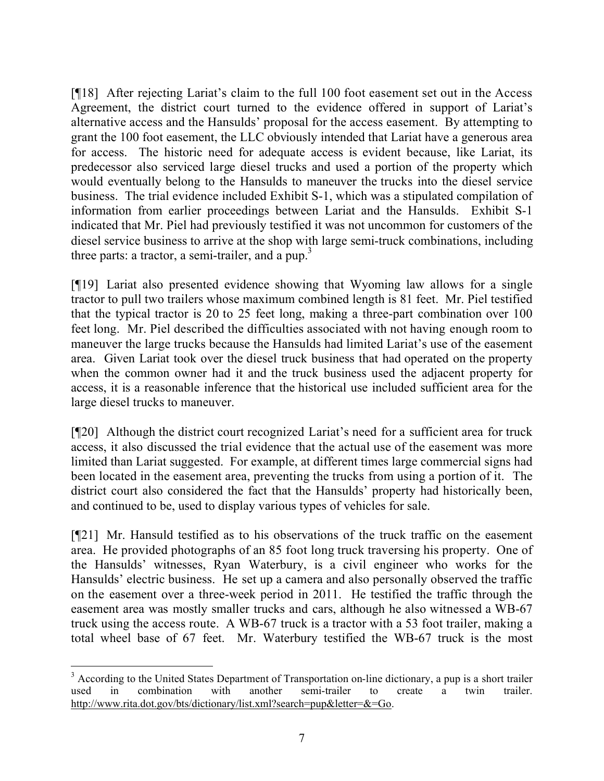[¶18] After rejecting Lariat's claim to the full 100 foot easement set out in the Access Agreement, the district court turned to the evidence offered in support of Lariat's alternative access and the Hansulds' proposal for the access easement. By attempting to grant the 100 foot easement, the LLC obviously intended that Lariat have a generous area for access. The historic need for adequate access is evident because, like Lariat, its predecessor also serviced large diesel trucks and used a portion of the property which would eventually belong to the Hansulds to maneuver the trucks into the diesel service business. The trial evidence included Exhibit S-1, which was a stipulated compilation of information from earlier proceedings between Lariat and the Hansulds. Exhibit S-1 indicated that Mr. Piel had previously testified it was not uncommon for customers of the diesel service business to arrive at the shop with large semi-truck combinations, including three parts: a tractor, a semi-trailer, and a pup.<sup>3</sup>

[¶19] Lariat also presented evidence showing that Wyoming law allows for a single tractor to pull two trailers whose maximum combined length is 81 feet. Mr. Piel testified that the typical tractor is 20 to 25 feet long, making a three-part combination over 100 feet long. Mr. Piel described the difficulties associated with not having enough room to maneuver the large trucks because the Hansulds had limited Lariat's use of the easement area. Given Lariat took over the diesel truck business that had operated on the property when the common owner had it and the truck business used the adjacent property for access, it is a reasonable inference that the historical use included sufficient area for the large diesel trucks to maneuver.

[¶20] Although the district court recognized Lariat's need for a sufficient area for truck access, it also discussed the trial evidence that the actual use of the easement was more limited than Lariat suggested. For example, at different times large commercial signs had been located in the easement area, preventing the trucks from using a portion of it. The district court also considered the fact that the Hansulds' property had historically been, and continued to be, used to display various types of vehicles for sale.

[¶21] Mr. Hansuld testified as to his observations of the truck traffic on the easement area. He provided photographs of an 85 foot long truck traversing his property. One of the Hansulds' witnesses, Ryan Waterbury, is a civil engineer who works for the Hansulds' electric business. He set up a camera and also personally observed the traffic on the easement over a three-week period in 2011. He testified the traffic through the easement area was mostly smaller trucks and cars, although he also witnessed a WB-67 truck using the access route. A WB-67 truck is a tractor with a 53 foot trailer, making a total wheel base of 67 feet. Mr. Waterbury testified the WB-67 truck is the most

 <sup>3</sup> According to the United States Department of Transportation on-line dictionary, a pup is a short trailer used in combination with another semi-trailer to create a twin trailer. http://www.rita.dot.gov/bts/dictionary/list.xml?search=pup&letter=&=Go.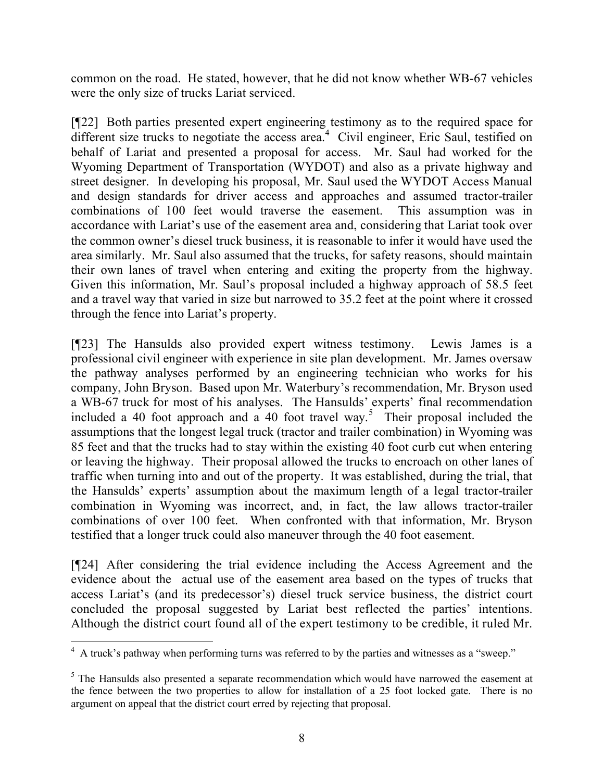common on the road. He stated, however, that he did not know whether WB-67 vehicles were the only size of trucks Lariat serviced.

[¶22] Both parties presented expert engineering testimony as to the required space for different size trucks to negotiate the access area.<sup>4</sup> Civil engineer, Eric Saul, testified on behalf of Lariat and presented a proposal for access. Mr. Saul had worked for the Wyoming Department of Transportation (WYDOT) and also as a private highway and street designer. In developing his proposal, Mr. Saul used the WYDOT Access Manual and design standards for driver access and approaches and assumed tractor-trailer combinations of 100 feet would traverse the easement. This assumption was in accordance with Lariat's use of the easement area and, considering that Lariat took over the common owner's diesel truck business, it is reasonable to infer it would have used the area similarly. Mr. Saul also assumed that the trucks, for safety reasons, should maintain their own lanes of travel when entering and exiting the property from the highway. Given this information, Mr. Saul's proposal included a highway approach of 58.5 feet and a travel way that varied in size but narrowed to 35.2 feet at the point where it crossed through the fence into Lariat's property.

[¶23] The Hansulds also provided expert witness testimony. Lewis James is a professional civil engineer with experience in site plan development. Mr. James oversaw the pathway analyses performed by an engineering technician who works for his company, John Bryson. Based upon Mr. Waterbury's recommendation, Mr. Bryson used a WB-67 truck for most of his analyses. The Hansulds' experts' final recommendation included a 40 foot approach and a 40 foot travel way.<sup>5</sup> Their proposal included the assumptions that the longest legal truck (tractor and trailer combination) in Wyoming was 85 feet and that the trucks had to stay within the existing 40 foot curb cut when entering or leaving the highway. Their proposal allowed the trucks to encroach on other lanes of traffic when turning into and out of the property. It was established, during the trial, that the Hansulds' experts' assumption about the maximum length of a legal tractor-trailer combination in Wyoming was incorrect, and, in fact, the law allows tractor-trailer combinations of over 100 feet. When confronted with that information, Mr. Bryson testified that a longer truck could also maneuver through the 40 foot easement.

[¶24] After considering the trial evidence including the Access Agreement and the evidence about the actual use of the easement area based on the types of trucks that access Lariat's (and its predecessor's) diesel truck service business, the district court concluded the proposal suggested by Lariat best reflected the parties' intentions. Although the district court found all of the expert testimony to be credible, it ruled Mr.

 4 A truck's pathway when performing turns was referred to by the parties and witnesses as a "sweep."

<sup>&</sup>lt;sup>5</sup> The Hansulds also presented a separate recommendation which would have narrowed the easement at the fence between the two properties to allow for installation of a 25 foot locked gate. There is no argument on appeal that the district court erred by rejecting that proposal.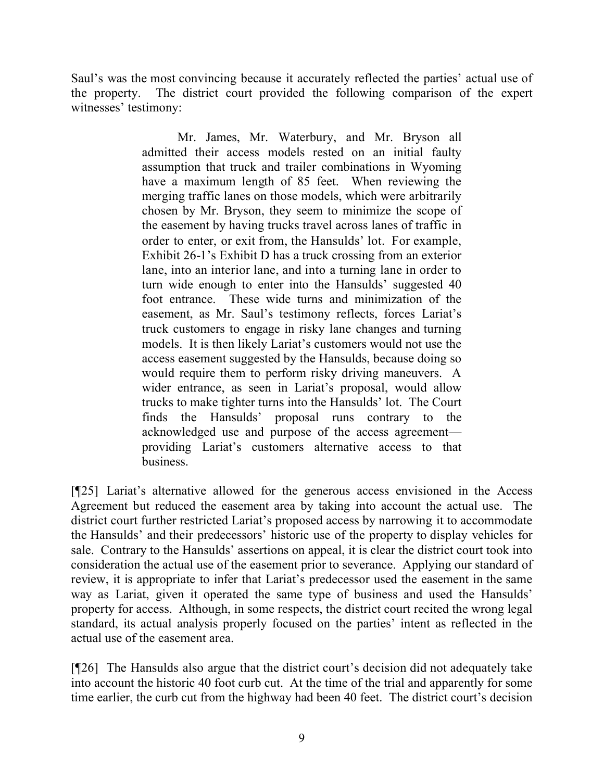Saul's was the most convincing because it accurately reflected the parties' actual use of the property. The district court provided the following comparison of the expert witnesses' testimony:

> Mr. James, Mr. Waterbury, and Mr. Bryson all admitted their access models rested on an initial faulty assumption that truck and trailer combinations in Wyoming have a maximum length of 85 feet. When reviewing the merging traffic lanes on those models, which were arbitrarily chosen by Mr. Bryson, they seem to minimize the scope of the easement by having trucks travel across lanes of traffic in order to enter, or exit from, the Hansulds' lot. For example, Exhibit 26-1's Exhibit D has a truck crossing from an exterior lane, into an interior lane, and into a turning lane in order to turn wide enough to enter into the Hansulds' suggested 40 foot entrance. These wide turns and minimization of the easement, as Mr. Saul's testimony reflects, forces Lariat's truck customers to engage in risky lane changes and turning models. It is then likely Lariat's customers would not use the access easement suggested by the Hansulds, because doing so would require them to perform risky driving maneuvers. A wider entrance, as seen in Lariat's proposal, would allow trucks to make tighter turns into the Hansulds' lot. The Court finds the Hansulds' proposal runs contrary to the acknowledged use and purpose of the access agreement providing Lariat's customers alternative access to that business.

[¶25] Lariat's alternative allowed for the generous access envisioned in the Access Agreement but reduced the easement area by taking into account the actual use. The district court further restricted Lariat's proposed access by narrowing it to accommodate the Hansulds' and their predecessors' historic use of the property to display vehicles for sale. Contrary to the Hansulds' assertions on appeal, it is clear the district court took into consideration the actual use of the easement prior to severance. Applying our standard of review, it is appropriate to infer that Lariat's predecessor used the easement in the same way as Lariat, given it operated the same type of business and used the Hansulds' property for access. Although, in some respects, the district court recited the wrong legal standard, its actual analysis properly focused on the parties' intent as reflected in the actual use of the easement area.

[¶26] The Hansulds also argue that the district court's decision did not adequately take into account the historic 40 foot curb cut. At the time of the trial and apparently for some time earlier, the curb cut from the highway had been 40 feet. The district court's decision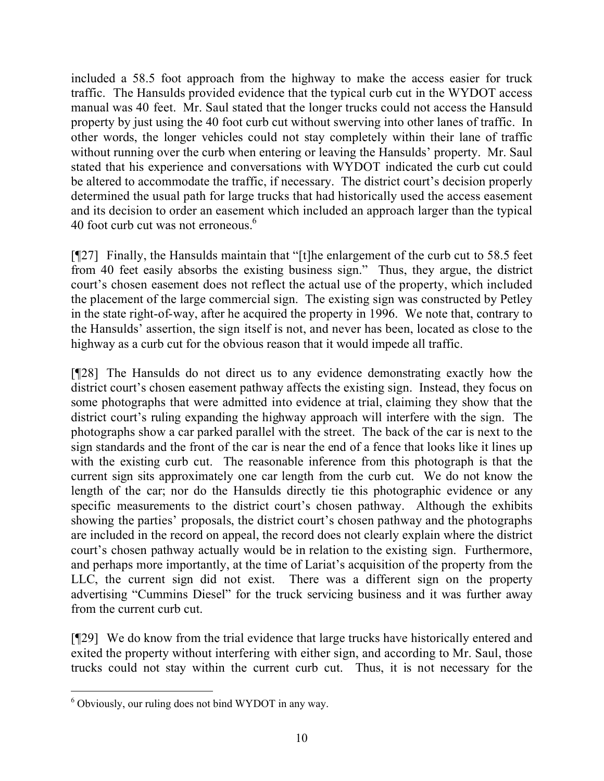included a 58.5 foot approach from the highway to make the access easier for truck traffic. The Hansulds provided evidence that the typical curb cut in the WYDOT access manual was 40 feet. Mr. Saul stated that the longer trucks could not access the Hansuld property by just using the 40 foot curb cut without swerving into other lanes of traffic. In other words, the longer vehicles could not stay completely within their lane of traffic without running over the curb when entering or leaving the Hansulds' property. Mr. Saul stated that his experience and conversations with WYDOT indicated the curb cut could be altered to accommodate the traffic, if necessary. The district court's decision properly determined the usual path for large trucks that had historically used the access easement and its decision to order an easement which included an approach larger than the typical 40 foot curb cut was not erroneous. $6$ 

[¶27] Finally, the Hansulds maintain that "[t]he enlargement of the curb cut to 58.5 feet from 40 feet easily absorbs the existing business sign." Thus, they argue, the district court's chosen easement does not reflect the actual use of the property, which included the placement of the large commercial sign. The existing sign was constructed by Petley in the state right-of-way, after he acquired the property in 1996. We note that, contrary to the Hansulds' assertion, the sign itself is not, and never has been, located as close to the highway as a curb cut for the obvious reason that it would impede all traffic.

[¶28] The Hansulds do not direct us to any evidence demonstrating exactly how the district court's chosen easement pathway affects the existing sign. Instead, they focus on some photographs that were admitted into evidence at trial, claiming they show that the district court's ruling expanding the highway approach will interfere with the sign. The photographs show a car parked parallel with the street. The back of the car is next to the sign standards and the front of the car is near the end of a fence that looks like it lines up with the existing curb cut. The reasonable inference from this photograph is that the current sign sits approximately one car length from the curb cut. We do not know the length of the car; nor do the Hansulds directly tie this photographic evidence or any specific measurements to the district court's chosen pathway. Although the exhibits showing the parties' proposals, the district court's chosen pathway and the photographs are included in the record on appeal, the record does not clearly explain where the district court's chosen pathway actually would be in relation to the existing sign. Furthermore, and perhaps more importantly, at the time of Lariat's acquisition of the property from the LLC, the current sign did not exist. There was a different sign on the property advertising "Cummins Diesel" for the truck servicing business and it was further away from the current curb cut.

[¶29] We do know from the trial evidence that large trucks have historically entered and exited the property without interfering with either sign, and according to Mr. Saul, those trucks could not stay within the current curb cut. Thus, it is not necessary for the

 $\overline{a}$ <sup>6</sup> Obviously, our ruling does not bind WYDOT in any way.